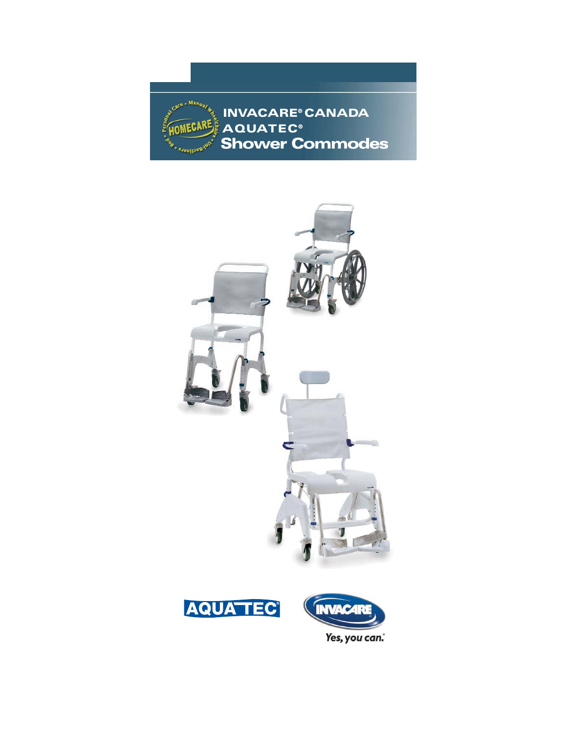**INVACARE® CANADA OMECARE AQUATEC® Shower Commodes** Jul-Recliners .

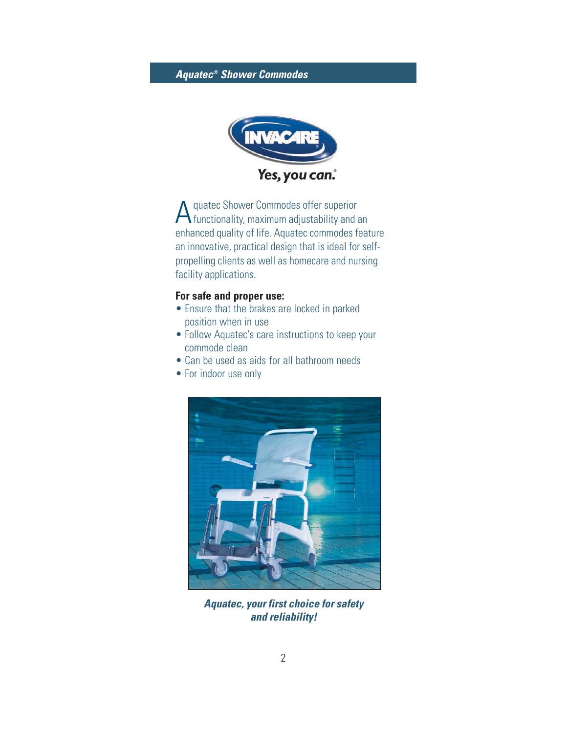

A quatec Shower Commodes offer superior<br>
functionality, maximum adjustability and an enhanced quality of life. Aquatec commodes feature an innovative, practical design that is ideal for selfpropelling clients as well as homecare and nursing facility applications.

### **For safe and proper use:**

- Ensure that the brakes are locked in parked position when in use
- Follow Aquatec's care instructions to keep your commode clean
- Can be used as aids for all bathroom needs
- For indoor use only



**Aquatec, your first choice for safety and reliability!**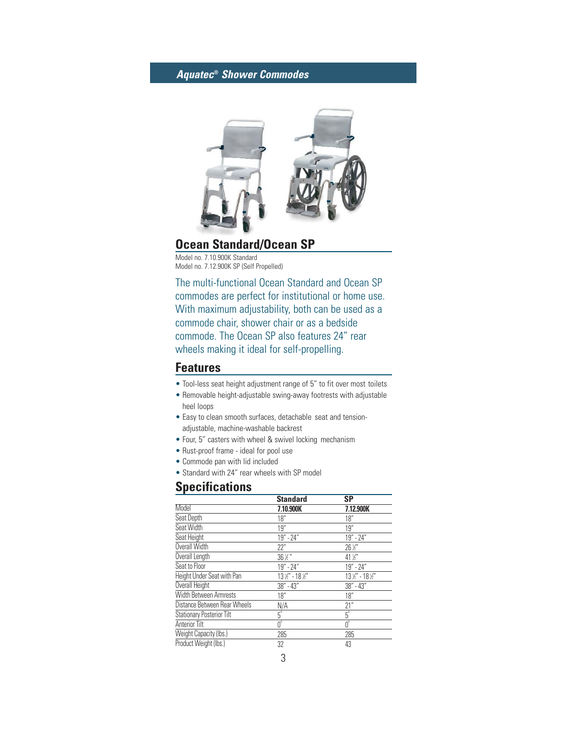

## **Ocean Standard/Ocean SP**

Model no. 7.10.900K Standard Model no. 7.12.900K SP (Self Propelled)

The multi-functional Ocean Standard and Ocean SP commodes are perfect for institutional or home use. With maximum adjustability, both can be used as a commode chair, shower chair or as a bedside commode. The Ocean SP also features 24" rear wheels making it ideal for self-propelling.

### **Features**

- Tool-less seat height adjustment range of 5" to fit over most toilets
- Removable height-adjustable swing-away footrests with adjustable heel loops
- Easy to clean smooth surfaces, detachable seat and tensionadjustable, machine-washable backrest
- Four, 5" casters with wheel & swivel locking mechanism
- Rust-proof frame ideal for pool use
- Commode pan with lid included
- Standard with 24" rear wheels with SP model

## **Specifications**

|                                  | <b>Standard</b>                        | SP                                    |
|----------------------------------|----------------------------------------|---------------------------------------|
| Model                            | 7.10.900K                              | 7.12.900K                             |
| Seat Depth                       | 18"                                    | 18"                                   |
| Seat Width                       | 19"                                    | 19"                                   |
| Seat Height                      | $19" - 24"$                            | $19" - 24"$                           |
| Overall Width                    | 22"                                    | $26\,\%$ "                            |
| Overall Length                   | $36\,\%$ "                             | 41 $\frac{1}{2}$                      |
| Seat to Floor                    | 19" - 24"                              | $19" - 24"$                           |
| Height Under Seat with Pan       | $13\frac{1}{2}$ " - 18 $\frac{1}{2}$ " | $13\frac{1}{2}$ " - $18\frac{1}{2}$ " |
| Overall Height                   | 38" - 43"                              | 38" - 43"                             |
| Width Between Armrests           | 18"                                    | 18"                                   |
| Distance Between Rear Wheels     | N/A                                    | 21"                                   |
| <b>Stationary Posterior Tilt</b> | $5^{\circ}$                            | $5^{\circ}$                           |
| <b>Anterior Tilt</b>             | $\overline{0^{\circ}}$                 | $\overline{0^{\circ}}$                |
| Weight Capacity (Ibs.)           | 285                                    | 285                                   |
| Product Weight (lbs.)            | 32                                     | 43                                    |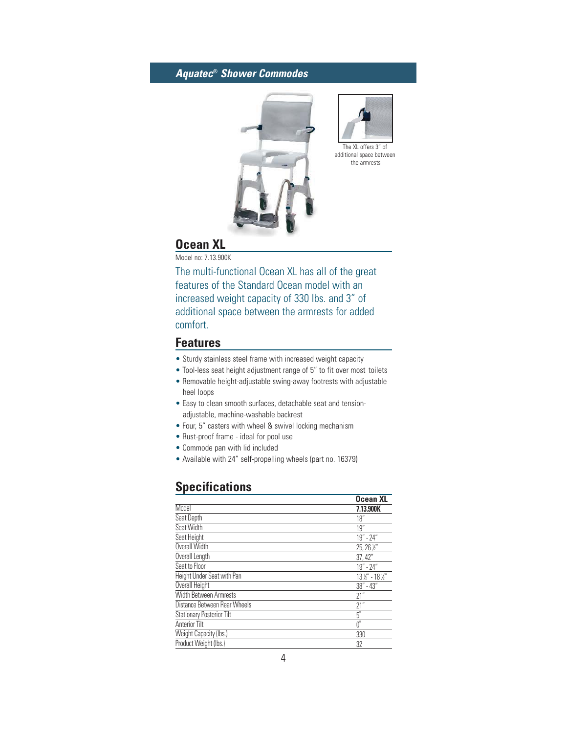



additional space between the armrests

## **Ocean XL**

Model no: 7.13.900K

The multi-functional Ocean XL has all of the great features of the Standard Ocean model with an increased weight capacity of 330 lbs. and 3" of additional space between the armrests for added comfort.

### **Features**

- Sturdy stainless steel frame with increased weight capacity
- Tool-less seat height adjustment range of 5" to fit over most toilets
- Removable height-adjustable swing-away footrests with adjustable heel loops
- Easy to clean smooth surfaces, detachable seat and tensionadjustable, machine-washable backrest
- Four, 5" casters with wheel & swivel locking mechanism
- Rust-proof frame ideal for pool use
- Commode pan with lid included
- Available with 24" self-propelling wheels (part no. 16379)

## **Specifications**

|                                  | <b>Ocean XL</b> |
|----------------------------------|-----------------|
| Model                            | 7.13.900K       |
| Seat Depth                       | 18"             |
| Seat Width                       | 19"             |
| Seat Height                      | $19" - 24"$     |
| Overall Width                    | 25, 26 1/2"     |
| Overall Length                   | 37,42"          |
| Seat to Floor                    | $19" - 24"$     |
| Height Under Seat with Pan       | 13 ½" - 18 ½"   |
| Overall Height                   | $38" - 43"$     |
| Width Between Armrests           | 21"             |
| Distance Between Rear Wheels     | 21"             |
| <b>Stationary Posterior Tilt</b> | $5^\circ$       |
| <b>Anterior Tilt</b>             | $0^{\circ}$     |
| Weight Capacity (Ibs.)           | 330             |
| Product Weight (lbs.)            | 32              |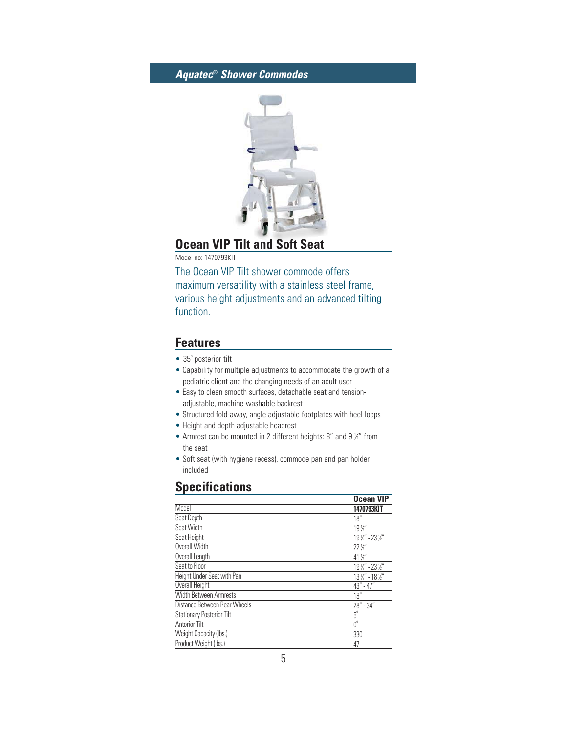

# **Ocean VIP Tilt and Soft Seat**

Model no: 1470793KIT

The Ocean VIP Tilt shower commode offers maximum versatility with a stainless steel frame, various height adjustments and an advanced tilting function.

### **Features**

- $\bullet$  35 $^{\circ}$  posterior tilt
- Capability for multiple adjustments to accommodate the growth of a pediatric client and the changing needs of an adult user
- Easy to clean smooth surfaces, detachable seat and tensionadjustable, machine-washable backrest
- Structured fold-away, angle adjustable footplates with heel loops
- Height and depth adjustable headrest
- Armrest can be mounted in 2 different heights: 8" and 9 %" from the seat
- Soft seat (with hygiene recess), commode pan and pan holder included

## **Specifications**

|                                  | <b>Ocean VIP</b>  |
|----------------------------------|-------------------|
| Model                            | 1470793KIT        |
| Seat Depth                       | 18"               |
| Seat Width                       | $19\,\mathrm{K}$  |
| Seat Height                      | 19 1/2" - 23 1/2" |
| Overall Width                    | $22\%$            |
| Overall Length                   | $41\frac{1}{2}$   |
| Seat to Floor                    | 19 1/2" - 23 1/2" |
| Height Under Seat with Pan       | 13 1/2" - 18 1/2" |
| Overall Height                   | $43" - 47"$       |
| Width Between Armrests           | 18"               |
| Distance Between Rear Wheels     | 28" - 34"         |
| <b>Stationary Posterior Tilt</b> | $5^\circ$         |
| Anterior Tilt                    | $0^{\circ}$       |
| Weight Capacity (Ibs.)           | 330               |
| Product Weight (lbs.)            | 47                |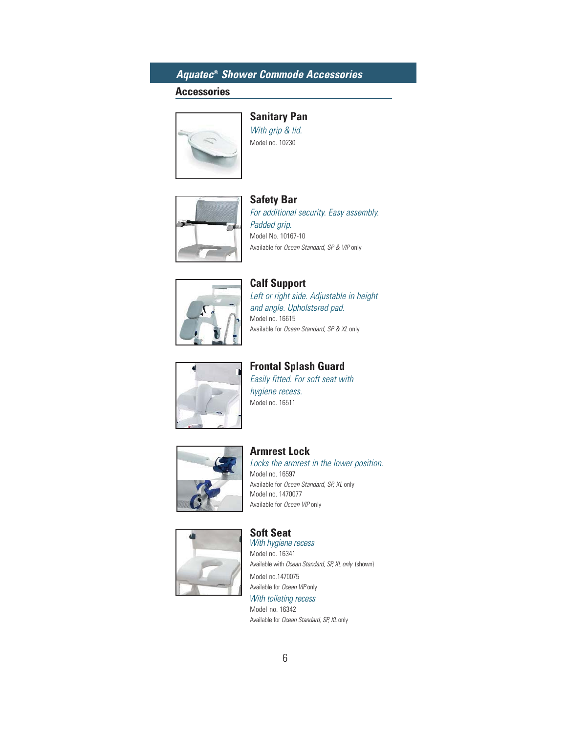## **Aquatec® Shower Commode Accessories**

### **Accessories**



**Sanitary Pan** With grip & lid. Model no. 10230



**Safety Bar** For additional security. Easy assembly. Padded grip. Model No. 10167-10 Available for Ocean Standard, SP & VIP only



**Calf Support** Left or right side. Adjustable in height and angle. Upholstered pad. Model no. 16615 Available for Ocean Standard, SP & XL only



**Frontal Splash Guard** Easily fitted. For soft seat with

hygiene recess. Model no. 16511



#### **Armrest Lock** Locks the armrest in the lower position. Model no. 16597

Available for Ocean Standard, SP, XL only Model no. 1470077 Available for Ocean VIP only



**Soft Seat** With hygiene recess Model no. 16341 Available with Ocean Standard, SP, XL only (shown) Model no.1470075 Available for Ocean VIP only With toileting recess Model no. 16342

Available for Ocean Standard, SP, XL only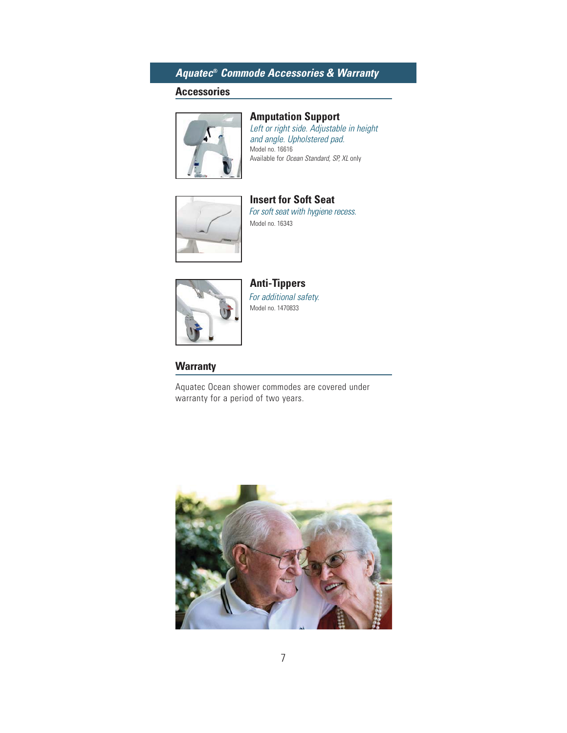## **Aquatec® Commode Accessories & Warranty**

### **Accessories**



### **Amputation Support**

Left or right side. Adjustable in height and angle. Upholstered pad. Model no. 16616 Available for Ocean Standard, SP, XL only



**Insert for Soft Seat** For soft seat with hygiene recess. Model no. 16343



**Anti-Tippers** For additional safety. Model no. 1470833

#### **Warranty**

Aquatec Ocean shower commodes are covered under warranty for a period of two years.